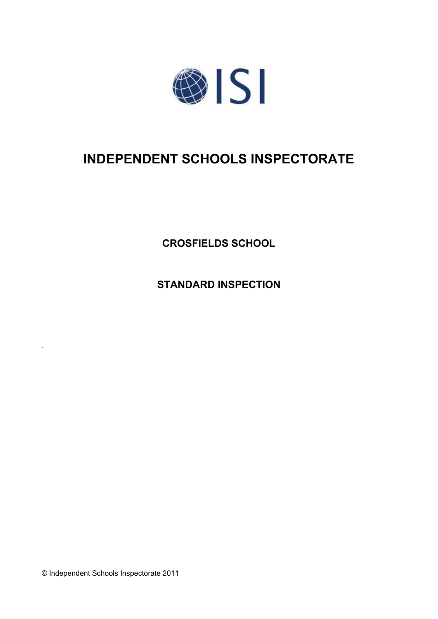

# **INDEPENDENT SCHOOLS INSPECTORATE**

**CROSFIELDS SCHOOL**

**STANDARD INSPECTION**

© Independent Schools Inspectorate 2011

.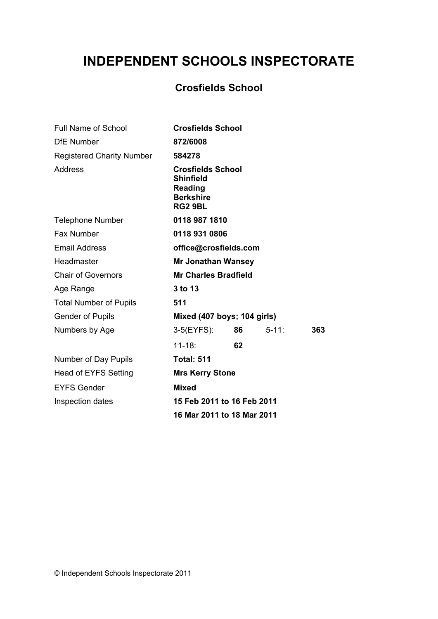# **INDEPENDENT SCHOOLS INSPECTORATE**

# **Crosfields School**

| <b>Full Name of School</b>       | <b>Crosfields School</b>                                                 |                           |            |     |
|----------------------------------|--------------------------------------------------------------------------|---------------------------|------------|-----|
| <b>DfE Number</b>                | 872/6008                                                                 |                           |            |     |
| <b>Registered Charity Number</b> | 584278                                                                   |                           |            |     |
| <b>Address</b>                   | <b>Shinfield</b><br><b>Reading</b><br><b>Berkshire</b><br><b>RG2 9BL</b> | <b>Crosfields School</b>  |            |     |
| <b>Telephone Number</b>          |                                                                          | 0118 987 1810             |            |     |
| Fax Number                       |                                                                          | 0118 931 0806             |            |     |
| <b>Email Address</b>             | office@crosfields.com                                                    |                           |            |     |
| Headmaster                       |                                                                          | <b>Mr Jonathan Wansey</b> |            |     |
| <b>Chair of Governors</b>        | <b>Mr Charles Bradfield</b>                                              |                           |            |     |
| Age Range                        | 3 to 13                                                                  |                           |            |     |
| <b>Total Number of Pupils</b>    | 511                                                                      |                           |            |     |
| <b>Gender of Pupils</b>          | Mixed (407 boys; 104 girls)                                              |                           |            |     |
| Numbers by Age                   | 3-5(EYFS):                                                               | 86 —                      | $5 - 11$ : | 363 |
|                                  | $11 - 18:$                                                               | 62                        |            |     |
| Number of Day Pupils             | <b>Total: 511</b>                                                        |                           |            |     |
| <b>Head of EYFS Setting</b>      | <b>Mrs Kerry Stone</b>                                                   |                           |            |     |
| <b>EYFS Gender</b>               | <b>Mixed</b>                                                             |                           |            |     |
| Inspection dates                 | 15 Feb 2011 to 16 Feb 2011                                               |                           |            |     |
|                                  | 16 Mar 2011 to 18 Mar 2011                                               |                           |            |     |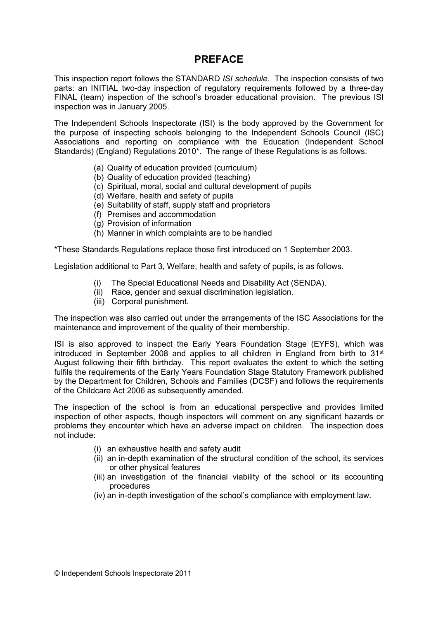## **PREFACE**

This inspection report follows the STANDARD *ISI schedule.* The inspection consists of two parts: an INITIAL two-day inspection of regulatory requirements followed by a three-day FINAL (team) inspection of the school's broader educational provision. The previous ISI inspection was in January 2005.

The Independent Schools Inspectorate (ISI) is the body approved by the Government for the purpose of inspecting schools belonging to the Independent Schools Council (ISC) Associations and reporting on compliance with the Education (Independent School Standards) (England) Regulations 2010\*. The range of these Regulations is as follows.

- (a) Quality of education provided (curriculum)
- (b) Quality of education provided (teaching)
- (c) Spiritual, moral, social and cultural development of pupils
- (d) Welfare, health and safety of pupils
- (e) Suitability of staff, supply staff and proprietors
- (f) Premises and accommodation
- (g) Provision of information
- (h) Manner in which complaints are to be handled

\*These Standards Regulations replace those first introduced on 1 September 2003.

Legislation additional to Part 3, Welfare, health and safety of pupils, is as follows.

- (i) The Special Educational Needs and Disability Act (SENDA).
- (ii) Race, gender and sexual discrimination legislation.
- (iii) Corporal punishment.

The inspection was also carried out under the arrangements of the ISC Associations for the maintenance and improvement of the quality of their membership.

ISI is also approved to inspect the Early Years Foundation Stage (EYFS), which was introduced in September 2008 and applies to all children in England from birth to 31<sup>st</sup> August following their fifth birthday. This report evaluates the extent to which the setting fulfils the requirements of the Early Years Foundation Stage Statutory Framework published by the Department for Children, Schools and Families (DCSF) and follows the requirements of the Childcare Act 2006 as subsequently amended.

The inspection of the school is from an educational perspective and provides limited inspection of other aspects, though inspectors will comment on any significant hazards or problems they encounter which have an adverse impact on children. The inspection does not include:

- (i) an exhaustive health and safety audit
- (ii) an in-depth examination of the structural condition of the school, its services or other physical features
- (iii) an investigation of the financial viability of the school or its accounting procedures
- (iv) an in-depth investigation of the school's compliance with employment law.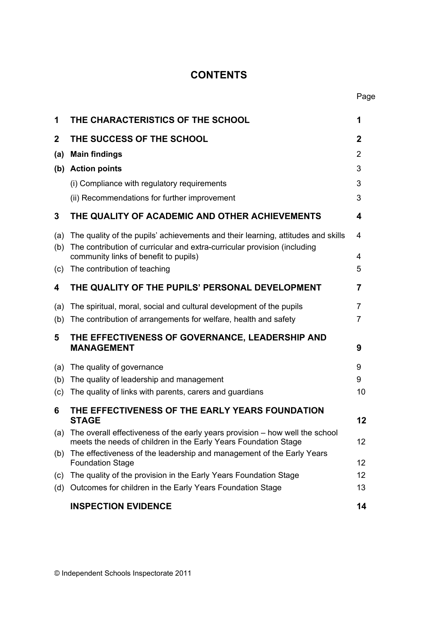## **CONTENTS**

| 1           | THE CHARACTERISTICS OF THE SCHOOL                                                                                                                            | 1  |
|-------------|--------------------------------------------------------------------------------------------------------------------------------------------------------------|----|
| $\mathbf 2$ | THE SUCCESS OF THE SCHOOL                                                                                                                                    | 2  |
| (a)         | <b>Main findings</b>                                                                                                                                         | 2  |
|             | (b) Action points                                                                                                                                            | 3  |
|             | (i) Compliance with regulatory requirements                                                                                                                  | 3  |
|             | (ii) Recommendations for further improvement                                                                                                                 | 3  |
| 3           | THE QUALITY OF ACADEMIC AND OTHER ACHIEVEMENTS                                                                                                               | 4  |
| (a)<br>(b)  | The quality of the pupils' achievements and their learning, attitudes and skills<br>The contribution of curricular and extra-curricular provision (including | 4  |
|             | community links of benefit to pupils)                                                                                                                        | 4  |
| (c)         | The contribution of teaching                                                                                                                                 | 5  |
| 4           | THE QUALITY OF THE PUPILS' PERSONAL DEVELOPMENT                                                                                                              | 7  |
| (a)         | The spiritual, moral, social and cultural development of the pupils                                                                                          | 7  |
| (b)         | The contribution of arrangements for welfare, health and safety                                                                                              | 7  |
| 5           | THE EFFECTIVENESS OF GOVERNANCE, LEADERSHIP AND<br><b>MANAGEMENT</b>                                                                                         | 9  |
| (a)         | The quality of governance                                                                                                                                    | 9  |
| (b)         | The quality of leadership and management                                                                                                                     | 9  |
| (c)         | The quality of links with parents, carers and guardians                                                                                                      | 10 |
| 6           | THE EFFECTIVENESS OF THE EARLY YEARS FOUNDATION<br><b>STAGE</b>                                                                                              | 12 |
|             | (a) The overall effectiveness of the early years provision – how well the school<br>meets the needs of children in the Early Years Foundation Stage          | 12 |
| (b)         | The effectiveness of the leadership and management of the Early Years<br><b>Foundation Stage</b>                                                             | 12 |
| (c)         | The quality of the provision in the Early Years Foundation Stage                                                                                             | 12 |
| (d)         | Outcomes for children in the Early Years Foundation Stage                                                                                                    | 13 |
|             | <b>INSPECTION EVIDENCE</b>                                                                                                                                   | 14 |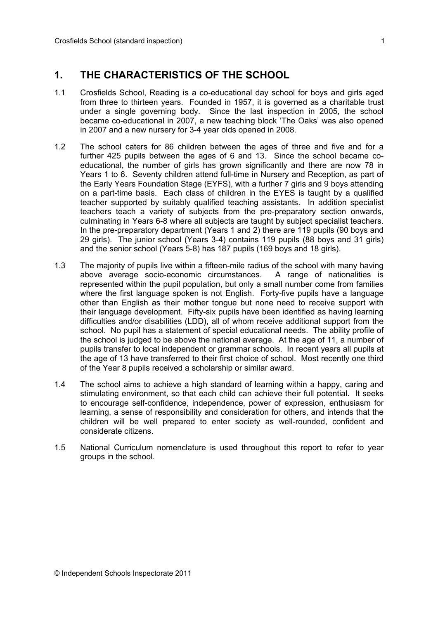## **1. THE CHARACTERISTICS OF THE SCHOOL**

- 1.1 Crosfields School, Reading is a co-educational day school for boys and girls aged from three to thirteen years. Founded in 1957, it is governed as a charitable trust under a single governing body. Since the last inspection in 2005, the school became co-educational in 2007, a new teaching block 'The Oaks' was also opened in 2007 and a new nursery for 3-4 year olds opened in 2008.
- 1.2 The school caters for 86 children between the ages of three and five and for a further 425 pupils between the ages of 6 and 13. Since the school became coeducational, the number of girls has grown significantly and there are now 78 in Years 1 to 6. Seventy children attend full-time in Nursery and Reception, as part of the Early Years Foundation Stage (EYFS), with a further 7 girls and 9 boys attending on a part-time basis. Each class of children in the EYES is taught by a qualified teacher supported by suitably qualified teaching assistants. In addition specialist teachers teach a variety of subjects from the pre-preparatory section onwards, culminating in Years 6-8 where all subjects are taught by subject specialist teachers. In the pre-preparatory department (Years 1 and 2) there are 119 pupils (90 boys and 29 girls). The junior school (Years 3-4) contains 119 pupils (88 boys and 31 girls) and the senior school (Years 5-8) has 187 pupils (169 boys and 18 girls).
- 1.3 The majority of pupils live within a fifteen-mile radius of the school with many having above average socio-economic circumstances. A range of nationalities is represented within the pupil population, but only a small number come from families where the first language spoken is not English. Forty-five pupils have a language other than English as their mother tongue but none need to receive support with their language development. Fifty-six pupils have been identified as having learning difficulties and/or disabilities (LDD), all of whom receive additional support from the school. No pupil has a statement of special educational needs. The ability profile of the school is judged to be above the national average. At the age of 11, a number of pupils transfer to local independent or grammar schools. In recent years all pupils at the age of 13 have transferred to their first choice of school. Most recently one third of the Year 8 pupils received a scholarship or similar award.
- 1.4 The school aims to achieve a high standard of learning within a happy, caring and stimulating environment, so that each child can achieve their full potential. It seeks to encourage self-confidence, independence, power of expression, enthusiasm for learning, a sense of responsibility and consideration for others, and intends that the children will be well prepared to enter society as well-rounded, confident and considerate citizens.
- 1.5 National Curriculum nomenclature is used throughout this report to refer to year groups in the school.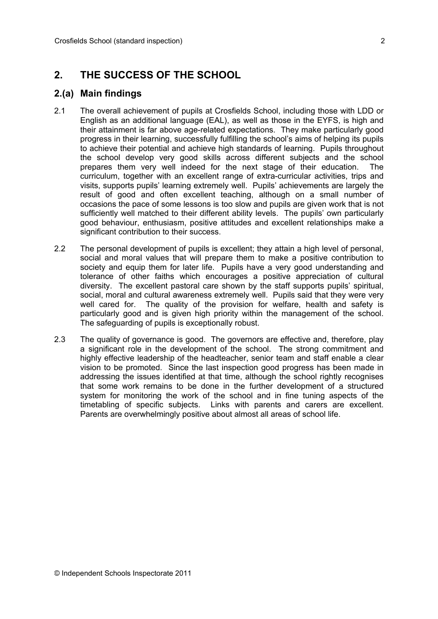## **2. THE SUCCESS OF THE SCHOOL**

### **2.(a) Main findings**

- 2.1 The overall achievement of pupils at Crosfields School, including those with LDD or English as an additional language (EAL), as well as those in the EYFS, is high and their attainment is far above age-related expectations. They make particularly good progress in their learning, successfully fulfilling the school's aims of helping its pupils to achieve their potential and achieve high standards of learning. Pupils throughout the school develop very good skills across different subjects and the school prepares them very well indeed for the next stage of their education. The curriculum, together with an excellent range of extra-curricular activities, trips and visits, supports pupils' learning extremely well. Pupils' achievements are largely the result of good and often excellent teaching, although on a small number of occasions the pace of some lessons is too slow and pupils are given work that is not sufficiently well matched to their different ability levels. The pupils' own particularly good behaviour, enthusiasm, positive attitudes and excellent relationships make a significant contribution to their success.
- 2.2 The personal development of pupils is excellent; they attain a high level of personal, social and moral values that will prepare them to make a positive contribution to society and equip them for later life. Pupils have a very good understanding and tolerance of other faiths which encourages a positive appreciation of cultural diversity. The excellent pastoral care shown by the staff supports pupils' spiritual, social, moral and cultural awareness extremely well. Pupils said that they were very well cared for. The quality of the provision for welfare, health and safety is particularly good and is given high priority within the management of the school. The safeguarding of pupils is exceptionally robust.
- 2.3 The quality of governance is good. The governors are effective and, therefore, play a significant role in the development of the school. The strong commitment and highly effective leadership of the headteacher, senior team and staff enable a clear vision to be promoted. Since the last inspection good progress has been made in addressing the issues identified at that time, although the school rightly recognises that some work remains to be done in the further development of a structured system for monitoring the work of the school and in fine tuning aspects of the timetabling of specific subjects. Links with parents and carers are excellent. Parents are overwhelmingly positive about almost all areas of school life.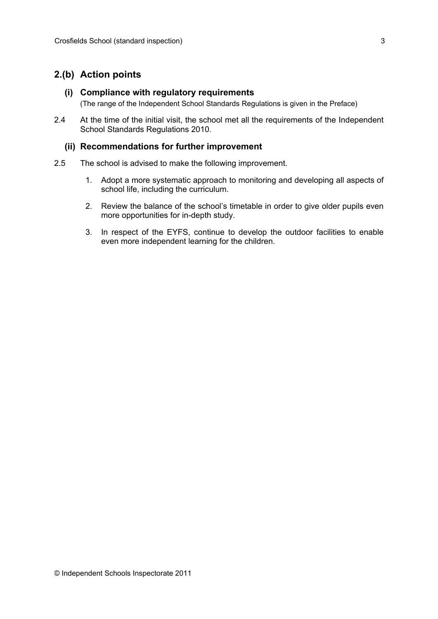### **2.(b) Action points**

#### **(i) Compliance with regulatory requirements**

(The range of the Independent School Standards Regulations is given in the Preface)

2.4 At the time of the initial visit, the school met all the requirements of the Independent School Standards Regulations 2010.

#### **(ii) Recommendations for further improvement**

- 2.5 The school is advised to make the following improvement.
	- 1. Adopt a more systematic approach to monitoring and developing all aspects of school life, including the curriculum.
	- 2. Review the balance of the school's timetable in order to give older pupils even more opportunities for in-depth study.
	- 3. In respect of the EYFS, continue to develop the outdoor facilities to enable even more independent learning for the children.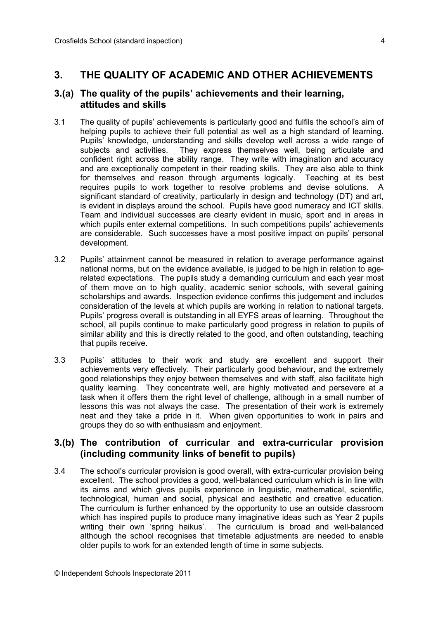## **3. THE QUALITY OF ACADEMIC AND OTHER ACHIEVEMENTS**

#### **3.(a) The quality of the pupils' achievements and their learning, attitudes and skills**

- 3.1 The quality of pupils' achievements is particularly good and fulfils the school's aim of helping pupils to achieve their full potential as well as a high standard of learning. Pupils' knowledge, understanding and skills develop well across a wide range of subjects and activities. They express themselves well, being articulate and confident right across the ability range. They write with imagination and accuracy and are exceptionally competent in their reading skills. They are also able to think for themselves and reason through arguments logically. Teaching at its best requires pupils to work together to resolve problems and devise solutions. A significant standard of creativity, particularly in design and technology (DT) and art, is evident in displays around the school. Pupils have good numeracy and ICT skills. Team and individual successes are clearly evident in music, sport and in areas in which pupils enter external competitions. In such competitions pupils' achievements are considerable. Such successes have a most positive impact on pupils' personal development.
- 3.2 Pupils' attainment cannot be measured in relation to average performance against national norms, but on the evidence available, is judged to be high in relation to agerelated expectations. The pupils study a demanding curriculum and each year most of them move on to high quality, academic senior schools, with several gaining scholarships and awards. Inspection evidence confirms this judgement and includes consideration of the levels at which pupils are working in relation to national targets. Pupils' progress overall is outstanding in all EYFS areas of learning. Throughout the school, all pupils continue to make particularly good progress in relation to pupils of similar ability and this is directly related to the good, and often outstanding, teaching that pupils receive.
- 3.3 Pupils' attitudes to their work and study are excellent and support their achievements very effectively. Their particularly good behaviour, and the extremely good relationships they enjoy between themselves and with staff, also facilitate high quality learning. They concentrate well, are highly motivated and persevere at a task when it offers them the right level of challenge, although in a small number of lessons this was not always the case. The presentation of their work is extremely neat and they take a pride in it. When given opportunities to work in pairs and groups they do so with enthusiasm and enjoyment.

#### **3.(b) The contribution of curricular and extra-curricular provision (including community links of benefit to pupils)**

3.4 The school's curricular provision is good overall, with extra-curricular provision being excellent. The school provides a good, well-balanced curriculum which is in line with its aims and which gives pupils experience in linguistic, mathematical, scientific, technological, human and social, physical and aesthetic and creative education. The curriculum is further enhanced by the opportunity to use an outside classroom which has inspired pupils to produce many imaginative ideas such as Year 2 pupils writing their own 'spring haikus'. The curriculum is broad and well-balanced although the school recognises that timetable adjustments are needed to enable older pupils to work for an extended length of time in some subjects.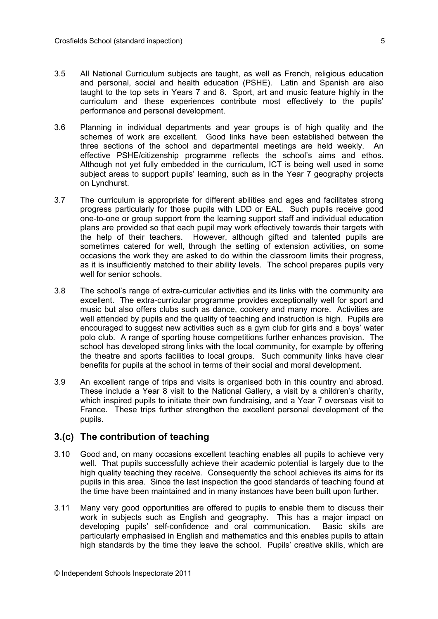- 3.5 All National Curriculum subjects are taught, as well as French, religious education and personal, social and health education (PSHE). Latin and Spanish are also taught to the top sets in Years 7 and 8. Sport, art and music feature highly in the curriculum and these experiences contribute most effectively to the pupils' performance and personal development.
- 3.6 Planning in individual departments and year groups is of high quality and the schemes of work are excellent. Good links have been established between the three sections of the school and departmental meetings are held weekly. An effective PSHE/citizenship programme reflects the school's aims and ethos. Although not yet fully embedded in the curriculum, ICT is being well used in some subject areas to support pupils' learning, such as in the Year 7 geography projects on Lyndhurst.
- 3.7 The curriculum is appropriate for different abilities and ages and facilitates strong progress particularly for those pupils with LDD or EAL. Such pupils receive good one-to-one or group support from the learning support staff and individual education plans are provided so that each pupil may work effectively towards their targets with the help of their teachers. However, although gifted and talented pupils are sometimes catered for well, through the setting of extension activities, on some occasions the work they are asked to do within the classroom limits their progress, as it is insufficiently matched to their ability levels. The school prepares pupils very well for senior schools.
- 3.8 The school's range of extra-curricular activities and its links with the community are excellent. The extra-curricular programme provides exceptionally well for sport and music but also offers clubs such as dance, cookery and many more. Activities are well attended by pupils and the quality of teaching and instruction is high. Pupils are encouraged to suggest new activities such as a gym club for girls and a boys' water polo club. A range of sporting house competitions further enhances provision. The school has developed strong links with the local community, for example by offering the theatre and sports facilities to local groups. Such community links have clear benefits for pupils at the school in terms of their social and moral development.
- 3.9 An excellent range of trips and visits is organised both in this country and abroad. These include a Year 8 visit to the National Gallery, a visit by a children's charity, which inspired pupils to initiate their own fundraising, and a Year 7 overseas visit to France. These trips further strengthen the excellent personal development of the pupils.

#### **3.(c) The contribution of teaching**

- 3.10 Good and, on many occasions excellent teaching enables all pupils to achieve very well. That pupils successfully achieve their academic potential is largely due to the high quality teaching they receive. Consequently the school achieves its aims for its pupils in this area. Since the last inspection the good standards of teaching found at the time have been maintained and in many instances have been built upon further.
- 3.11 Many very good opportunities are offered to pupils to enable them to discuss their work in subjects such as English and geography. This has a major impact on developing pupils' self-confidence and oral communication. Basic skills are particularly emphasised in English and mathematics and this enables pupils to attain high standards by the time they leave the school. Pupils' creative skills, which are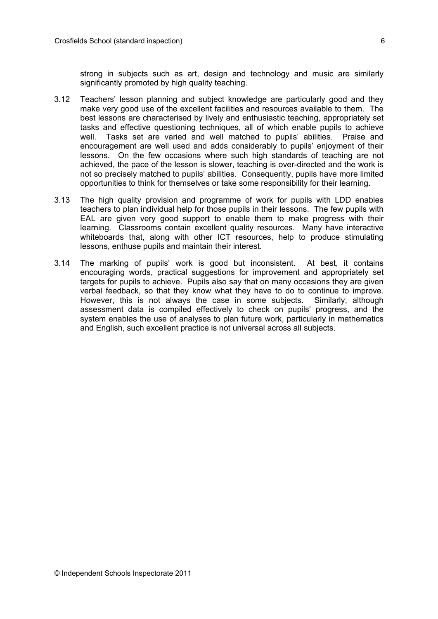strong in subjects such as art, design and technology and music are similarly significantly promoted by high quality teaching.

- 3.12 Teachers' lesson planning and subject knowledge are particularly good and they make very good use of the excellent facilities and resources available to them. The best lessons are characterised by lively and enthusiastic teaching, appropriately set tasks and effective questioning techniques, all of which enable pupils to achieve well. Tasks set are varied and well matched to pupils' abilities. Praise and encouragement are well used and adds considerably to pupils' enjoyment of their lessons. On the few occasions where such high standards of teaching are not achieved, the pace of the lesson is slower, teaching is over-directed and the work is not so precisely matched to pupils' abilities. Consequently, pupils have more limited opportunities to think for themselves or take some responsibility for their learning.
- 3.13 The high quality provision and programme of work for pupils with LDD enables teachers to plan individual help for those pupils in their lessons. The few pupils with EAL are given very good support to enable them to make progress with their learning. Classrooms contain excellent quality resources. Many have interactive whiteboards that, along with other ICT resources, help to produce stimulating lessons, enthuse pupils and maintain their interest.
- 3.14 The marking of pupils' work is good but inconsistent. At best, it contains encouraging words, practical suggestions for improvement and appropriately set targets for pupils to achieve. Pupils also say that on many occasions they are given verbal feedback, so that they know what they have to do to continue to improve. However, this is not always the case in some subjects. Similarly, although assessment data is compiled effectively to check on pupils' progress, and the system enables the use of analyses to plan future work, particularly in mathematics and English, such excellent practice is not universal across all subjects.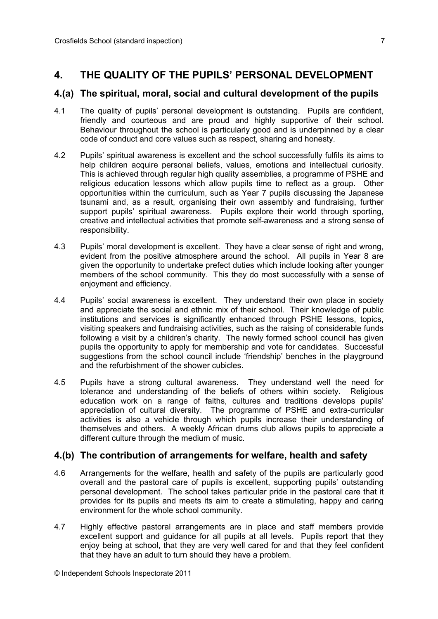## **4. THE QUALITY OF THE PUPILS' PERSONAL DEVELOPMENT**

#### **4.(a) The spiritual, moral, social and cultural development of the pupils**

- 4.1 The quality of pupils' personal development is outstanding. Pupils are confident, friendly and courteous and are proud and highly supportive of their school. Behaviour throughout the school is particularly good and is underpinned by a clear code of conduct and core values such as respect, sharing and honesty.
- 4.2 Pupils' spiritual awareness is excellent and the school successfully fulfils its aims to help children acquire personal beliefs, values, emotions and intellectual curiosity. This is achieved through regular high quality assemblies, a programme of PSHE and religious education lessons which allow pupils time to reflect as a group. Other opportunities within the curriculum, such as Year 7 pupils discussing the Japanese tsunami and, as a result, organising their own assembly and fundraising, further support pupils' spiritual awareness. Pupils explore their world through sporting, creative and intellectual activities that promote self-awareness and a strong sense of responsibility.
- 4.3 Pupils' moral development is excellent. They have a clear sense of right and wrong, evident from the positive atmosphere around the school. All pupils in Year 8 are given the opportunity to undertake prefect duties which include looking after younger members of the school community. This they do most successfully with a sense of enjoyment and efficiency.
- 4.4 Pupils' social awareness is excellent. They understand their own place in society and appreciate the social and ethnic mix of their school. Their knowledge of public institutions and services is significantly enhanced through PSHE lessons, topics, visiting speakers and fundraising activities, such as the raising of considerable funds following a visit by a children's charity. The newly formed school council has given pupils the opportunity to apply for membership and vote for candidates. Successful suggestions from the school council include 'friendship' benches in the playground and the refurbishment of the shower cubicles.
- 4.5 Pupils have a strong cultural awareness. They understand well the need for tolerance and understanding of the beliefs of others within society. Religious education work on a range of faiths, cultures and traditions develops pupils' appreciation of cultural diversity. The programme of PSHE and extra-curricular activities is also a vehicle through which pupils increase their understanding of themselves and others. A weekly African drums club allows pupils to appreciate a different culture through the medium of music.

#### **4.(b) The contribution of arrangements for welfare, health and safety**

- 4.6 Arrangements for the welfare, health and safety of the pupils are particularly good overall and the pastoral care of pupils is excellent, supporting pupils' outstanding personal development. The school takes particular pride in the pastoral care that it provides for its pupils and meets its aim to create a stimulating, happy and caring environment for the whole school community.
- 4.7 Highly effective pastoral arrangements are in place and staff members provide excellent support and guidance for all pupils at all levels. Pupils report that they enjoy being at school, that they are very well cared for and that they feel confident that they have an adult to turn should they have a problem.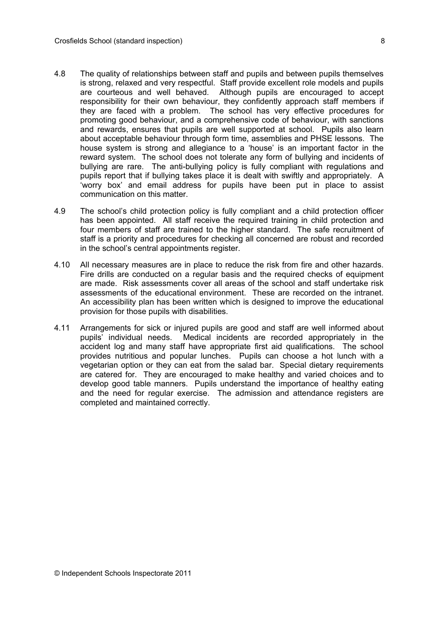- 4.8 The quality of relationships between staff and pupils and between pupils themselves is strong, relaxed and very respectful. Staff provide excellent role models and pupils are courteous and well behaved. Although pupils are encouraged to accept responsibility for their own behaviour, they confidently approach staff members if they are faced with a problem. The school has very effective procedures for promoting good behaviour, and a comprehensive code of behaviour, with sanctions and rewards, ensures that pupils are well supported at school. Pupils also learn about acceptable behaviour through form time, assemblies and PHSE lessons. The house system is strong and allegiance to a 'house' is an important factor in the reward system. The school does not tolerate any form of bullying and incidents of bullying are rare. The anti-bullying policy is fully compliant with regulations and pupils report that if bullying takes place it is dealt with swiftly and appropriately. A 'worry box' and email address for pupils have been put in place to assist communication on this matter.
- 4.9 The school's child protection policy is fully compliant and a child protection officer has been appointed. All staff receive the required training in child protection and four members of staff are trained to the higher standard. The safe recruitment of staff is a priority and procedures for checking all concerned are robust and recorded in the school's central appointments register.
- 4.10 All necessary measures are in place to reduce the risk from fire and other hazards. Fire drills are conducted on a regular basis and the required checks of equipment are made. Risk assessments cover all areas of the school and staff undertake risk assessments of the educational environment. These are recorded on the intranet. An accessibility plan has been written which is designed to improve the educational provision for those pupils with disabilities.
- 4.11 Arrangements for sick or injured pupils are good and staff are well informed about pupils' individual needs. Medical incidents are recorded appropriately in the accident log and many staff have appropriate first aid qualifications. The school provides nutritious and popular lunches. Pupils can choose a hot lunch with a vegetarian option or they can eat from the salad bar. Special dietary requirements are catered for. They are encouraged to make healthy and varied choices and to develop good table manners. Pupils understand the importance of healthy eating and the need for regular exercise. The admission and attendance registers are completed and maintained correctly.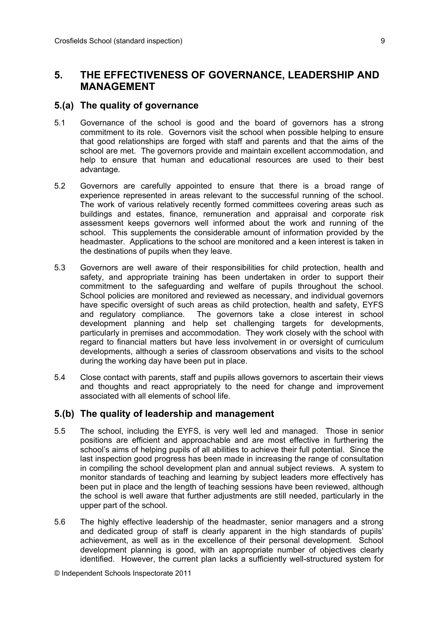## **5. THE EFFECTIVENESS OF GOVERNANCE, LEADERSHIP AND MANAGEMENT**

#### **5.(a) The quality of governance**

- 5.1 Governance of the school is good and the board of governors has a strong commitment to its role. Governors visit the school when possible helping to ensure that good relationships are forged with staff and parents and that the aims of the school are met. The governors provide and maintain excellent accommodation, and help to ensure that human and educational resources are used to their best advantage.
- 5.2 Governors are carefully appointed to ensure that there is a broad range of experience represented in areas relevant to the successful running of the school. The work of various relatively recently formed committees covering areas such as buildings and estates, finance, remuneration and appraisal and corporate risk assessment keeps governors well informed about the work and running of the school. This supplements the considerable amount of information provided by the headmaster. Applications to the school are monitored and a keen interest is taken in the destinations of pupils when they leave.
- 5.3 Governors are well aware of their responsibilities for child protection, health and safety, and appropriate training has been undertaken in order to support their commitment to the safeguarding and welfare of pupils throughout the school. School policies are monitored and reviewed as necessary, and individual governors have specific oversight of such areas as child protection, health and safety, EYFS and regulatory compliance. The governors take a close interest in school development planning and help set challenging targets for developments, particularly in premises and accommodation. They work closely with the school with regard to financial matters but have less involvement in or oversight of curriculum developments, although a series of classroom observations and visits to the school during the working day have been put in place.
- 5.4 Close contact with parents, staff and pupils allows governors to ascertain their views and thoughts and react appropriately to the need for change and improvement associated with all elements of school life.

#### **5.(b) The quality of leadership and management**

- 5.5 The school, including the EYFS, is very well led and managed. Those in senior positions are efficient and approachable and are most effective in furthering the school's aims of helping pupils of all abilities to achieve their full potential. Since the last inspection good progress has been made in increasing the range of consultation in compiling the school development plan and annual subject reviews. A system to monitor standards of teaching and learning by subject leaders more effectively has been put in place and the length of teaching sessions have been reviewed, although the school is well aware that further adjustments are still needed, particularly in the upper part of the school.
- 5.6 The highly effective leadership of the headmaster, senior managers and a strong and dedicated group of staff is clearly apparent in the high standards of pupils' achievement, as well as in the excellence of their personal development. School development planning is good, with an appropriate number of objectives clearly identified. However, the current plan lacks a sufficiently well-structured system for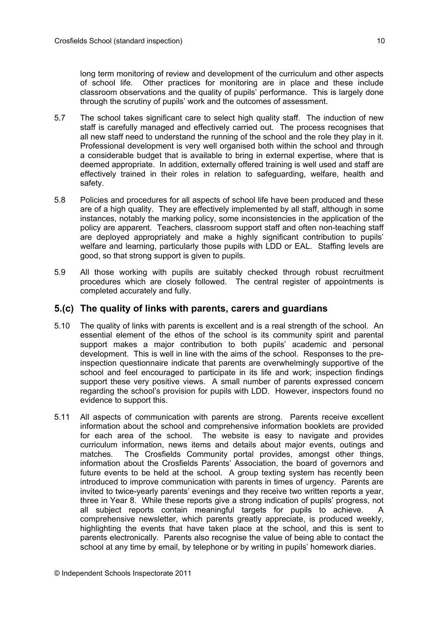long term monitoring of review and development of the curriculum and other aspects of school life. Other practices for monitoring are in place and these include classroom observations and the quality of pupils' performance. This is largely done through the scrutiny of pupils' work and the outcomes of assessment.

- 5.7 The school takes significant care to select high quality staff. The induction of new staff is carefully managed and effectively carried out. The process recognises that all new staff need to understand the running of the school and the role they play in it. Professional development is very well organised both within the school and through a considerable budget that is available to bring in external expertise, where that is deemed appropriate. In addition, externally offered training is well used and staff are effectively trained in their roles in relation to safeguarding, welfare, health and safety.
- 5.8 Policies and procedures for all aspects of school life have been produced and these are of a high quality. They are effectively implemented by all staff, although in some instances, notably the marking policy, some inconsistencies in the application of the policy are apparent. Teachers, classroom support staff and often non-teaching staff are deployed appropriately and make a highly significant contribution to pupils' welfare and learning, particularly those pupils with LDD or EAL. Staffing levels are good, so that strong support is given to pupils.
- 5.9 All those working with pupils are suitably checked through robust recruitment procedures which are closely followed. The central register of appointments is completed accurately and fully.

#### **5.(c) The quality of links with parents, carers and guardians**

- 5.10 The quality of links with parents is excellent and is a real strength of the school. An essential element of the ethos of the school is its community spirit and parental support makes a major contribution to both pupils' academic and personal development. This is well in line with the aims of the school. Responses to the preinspection questionnaire indicate that parents are overwhelmingly supportive of the school and feel encouraged to participate in its life and work; inspection findings support these very positive views. A small number of parents expressed concern regarding the school's provision for pupils with LDD. However, inspectors found no evidence to support this.
- 5.11 All aspects of communication with parents are strong. Parents receive excellent information about the school and comprehensive information booklets are provided for each area of the school. The website is easy to navigate and provides curriculum information, news items and details about major events, outings and matches. The Crosfields Community portal provides, amongst other things, information about the Crosfields Parents' Association, the board of governors and future events to be held at the school. A group texting system has recently been introduced to improve communication with parents in times of urgency. Parents are invited to twice-yearly parents' evenings and they receive two written reports a year, three in Year 8. While these reports give a strong indication of pupils' progress, not all subject reports contain meaningful targets for pupils to achieve. A comprehensive newsletter, which parents greatly appreciate, is produced weekly, highlighting the events that have taken place at the school, and this is sent to parents electronically. Parents also recognise the value of being able to contact the school at any time by email, by telephone or by writing in pupils' homework diaries.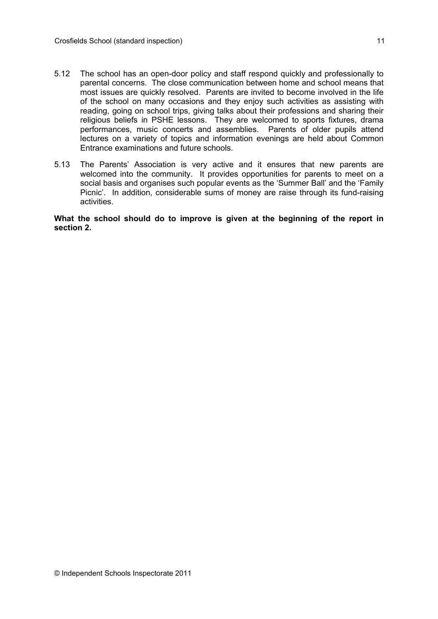- 5.12 The school has an open-door policy and staff respond quickly and professionally to parental concerns. The close communication between home and school means that most issues are quickly resolved. Parents are invited to become involved in the life of the school on many occasions and they enjoy such activities as assisting with reading, going on school trips, giving talks about their professions and sharing their religious beliefs in PSHE lessons. They are welcomed to sports fixtures, drama performances, music concerts and assemblies. Parents of older pupils attend lectures on a variety of topics and information evenings are held about Common Entrance examinations and future schools.
- 5.13 The Parents' Association is very active and it ensures that new parents are welcomed into the community. It provides opportunities for parents to meet on a social basis and organises such popular events as the 'Summer Ball' and the 'Family Picnic'. In addition, considerable sums of money are raise through its fund-raising activities.

**What the school should do to improve is given at the beginning of the report in section 2.**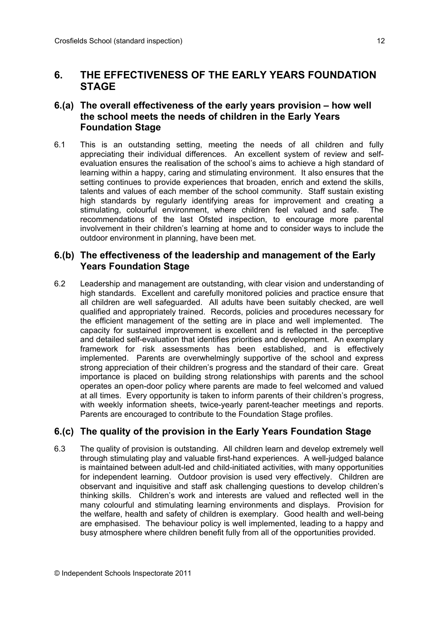## **6. THE EFFECTIVENESS OF THE EARLY YEARS FOUNDATION STAGE**

## **6.(a) The overall effectiveness of the early years provision – how well the school meets the needs of children in the Early Years Foundation Stage**

6.1 This is an outstanding setting, meeting the needs of all children and fully appreciating their individual differences. An excellent system of review and selfevaluation ensures the realisation of the school's aims to achieve a high standard of learning within a happy, caring and stimulating environment. It also ensures that the setting continues to provide experiences that broaden, enrich and extend the skills, talents and values of each member of the school community. Staff sustain existing high standards by regularly identifying areas for improvement and creating a stimulating, colourful environment, where children feel valued and safe. The recommendations of the last Ofsted inspection, to encourage more parental involvement in their children's learning at home and to consider ways to include the outdoor environment in planning, have been met.

### **6.(b) The effectiveness of the leadership and management of the Early Years Foundation Stage**

6.2 Leadership and management are outstanding, with clear vision and understanding of high standards. Excellent and carefully monitored policies and practice ensure that all children are well safeguarded. All adults have been suitably checked, are well qualified and appropriately trained. Records, policies and procedures necessary for the efficient management of the setting are in place and well implemented. The capacity for sustained improvement is excellent and is reflected in the perceptive and detailed self-evaluation that identifies priorities and development. An exemplary framework for risk assessments has been established, and is effectively implemented. Parents are overwhelmingly supportive of the school and express strong appreciation of their children's progress and the standard of their care. Great importance is placed on building strong relationships with parents and the school operates an open-door policy where parents are made to feel welcomed and valued at all times. Every opportunity is taken to inform parents of their children's progress, with weekly information sheets, twice-yearly parent-teacher meetings and reports. Parents are encouraged to contribute to the Foundation Stage profiles.

## **6.(c) The quality of the provision in the Early Years Foundation Stage**

6.3 The quality of provision is outstanding. All children learn and develop extremely well through stimulating play and valuable first-hand experiences. A well-judged balance is maintained between adult-led and child-initiated activities, with many opportunities for independent learning. Outdoor provision is used very effectively. Children are observant and inquisitive and staff ask challenging questions to develop children's thinking skills. Children's work and interests are valued and reflected well in the many colourful and stimulating learning environments and displays. Provision for the welfare, health and safety of children is exemplary. Good health and well-being are emphasised. The behaviour policy is well implemented, leading to a happy and busy atmosphere where children benefit fully from all of the opportunities provided.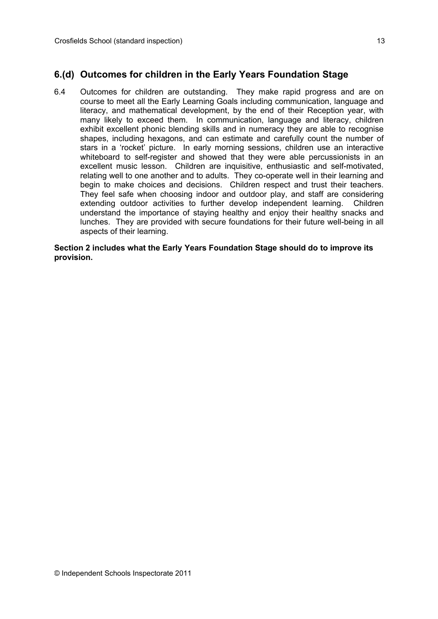### **6.(d) Outcomes for children in the Early Years Foundation Stage**

6.4 Outcomes for children are outstanding. They make rapid progress and are on course to meet all the Early Learning Goals including communication, language and literacy, and mathematical development, by the end of their Reception year, with many likely to exceed them. In communication, language and literacy, children exhibit excellent phonic blending skills and in numeracy they are able to recognise shapes, including hexagons, and can estimate and carefully count the number of stars in a 'rocket' picture. In early morning sessions, children use an interactive whiteboard to self-register and showed that they were able percussionists in an excellent music lesson. Children are inquisitive, enthusiastic and self-motivated, relating well to one another and to adults. They co-operate well in their learning and begin to make choices and decisions. Children respect and trust their teachers. They feel safe when choosing indoor and outdoor play, and staff are considering extending outdoor activities to further develop independent learning. Children understand the importance of staying healthy and enjoy their healthy snacks and lunches. They are provided with secure foundations for their future well-being in all aspects of their learning.

**Section 2 includes what the Early Years Foundation Stage should do to improve its provision.**